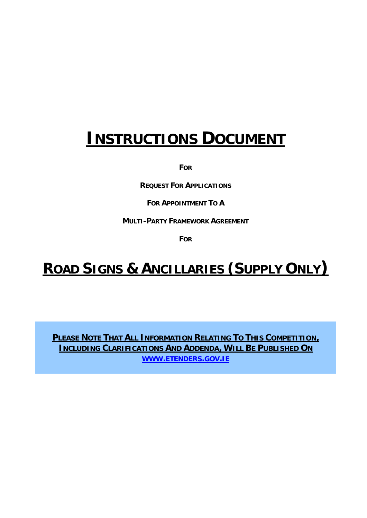# **INSTRUCTIONS DOCUMENT**

**FOR**

**REQUEST FOR APPLICATIONS**

**FOR APPOINTMENT TO A**

**MULTI-PARTY FRAMEWORK AGREEMENT**

**FOR**

## **ROAD SIGNS & ANCILLARIES (SUPPLY ONLY)**

**PLEASE NOTE THAT ALL INFORMATION RELATING TO THIS COMPETITION, INCLUDING CLARIFICATIONS AND ADDENDA, WILL BE PUBLISHED ON [WWW.ETENDERS.GOV.IE](http://www.etenders.gov.ie/)**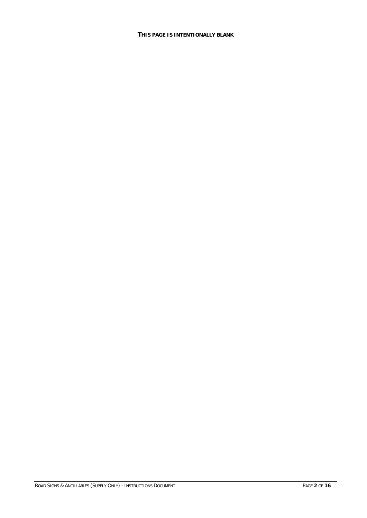### **THIS PAGE IS INTENTIONALLY BLANK**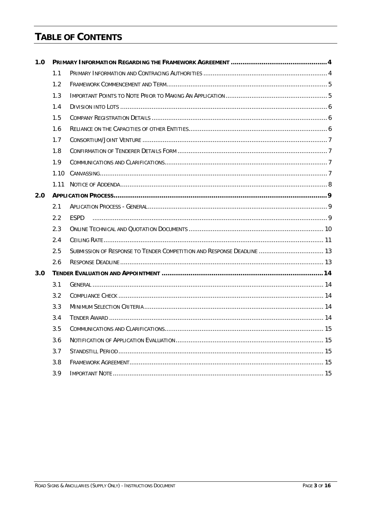## **TABLE OF CONTENTS**

| 1.0 |               |                                                                        |  |  |
|-----|---------------|------------------------------------------------------------------------|--|--|
|     | 1.1           |                                                                        |  |  |
|     | 1.2           |                                                                        |  |  |
|     | 1.3           |                                                                        |  |  |
|     | 1.4           |                                                                        |  |  |
|     | 1.5           |                                                                        |  |  |
|     | 1.6           |                                                                        |  |  |
|     | 1.7           |                                                                        |  |  |
|     | 1.8           |                                                                        |  |  |
|     | 1.9           |                                                                        |  |  |
|     | 1.10          |                                                                        |  |  |
|     | 1.11          |                                                                        |  |  |
| 2.0 |               |                                                                        |  |  |
|     | 2.1           |                                                                        |  |  |
|     | 2.2           | <b>FSPD</b>                                                            |  |  |
|     | 2.3           |                                                                        |  |  |
|     | 2.4           |                                                                        |  |  |
|     | 2.5           | SUBMISSION OF RESPONSE TO TENDER COMPETITION AND RESPONSE DEADLINE  13 |  |  |
|     | 2.6           |                                                                        |  |  |
| 3.0 |               |                                                                        |  |  |
|     | 3.1           |                                                                        |  |  |
|     | $3.2^{\circ}$ |                                                                        |  |  |
|     | 3.3           |                                                                        |  |  |
|     | 3.4           |                                                                        |  |  |
|     | 3.5           |                                                                        |  |  |
|     | 3.6           |                                                                        |  |  |
|     | 3.7           |                                                                        |  |  |
|     | 3.8           |                                                                        |  |  |
|     | 3.9           |                                                                        |  |  |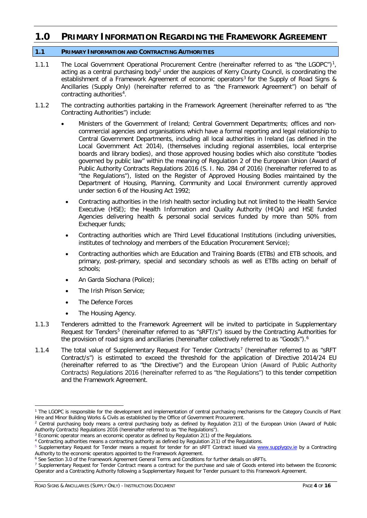### <span id="page-3-2"></span><span id="page-3-0"></span>**1.0 PRIMARY INFORMATION REGARDING THE FRAMEWORK AGREEMENT**

### <span id="page-3-1"></span>**1.1 PRIMARY INFORMATION AND CONTRACTING AUTHORITIES**

- 1.1.1 The Local Government Operational Procurement Centre (hereinafter referred to as "the LGOPC")<sup>1</sup>, acting as a central purchasing body<sup>[2](#page-3-4)</sup> under the auspices of Kerry County Council, is coordinating the establishment of a Framework Agreement of economic operators<sup>[3](#page-3-5)</sup> for the Supply of Road Signs & Ancillaries (Supply Only) (hereinafter referred to as "the Framework Agreement") on behalf of contracting authorities<sup>[4](#page-3-6)</sup>.
- 1.1.2 The contracting authorities partaking in the Framework Agreement (hereinafter referred to as "the Contracting Authorities") include:
	- Ministers of the Government of Ireland; Central Government Departments; offices and noncommercial agencies and organisations which have a formal reporting and legal relationship to Central Government Departments, including all local authorities in Ireland (as defined in the Local Government Act 2014), (themselves including regional assemblies, local enterprise boards and library bodies), and those approved housing bodies which also constitute "bodies governed by public law" within the meaning of Regulation 2 of the European Union (Award of Public Authority Contracts Regulations 2016 (S. I. No. 284 of 2016) (hereinafter referred to as "the Regulations"), listed on the Register of Approved Housing Bodies maintained by the Department of Housing, Planning, Community and Local Environment currently approved under section 6 of the Housing Act 1992;
	- Contracting authorities in the Irish health sector including but not limited to the Health Service Executive (HSE); the Health Information and Quality Authority (HIQA) and HSE funded Agencies delivering health & personal social services funded by more than 50% from Exchequer funds;
	- Contracting authorities which are Third Level Educational Institutions (including universities, institutes of technology and members of the Education Procurement Service);
	- Contracting authorities which are Education and Training Boards (ETBs) and ETB schools, and primary, post-primary, special and secondary schools as well as ETBs acting on behalf of schools;
	- An Garda Síochana (Police);
	- The Irish Prison Service;
	- The Defence Forces
	- The Housing Agency.
- 1.1.3 Tenderers admitted to the Framework Agreement will be invited to participate in Supplementary Request for Tenders<sup>[5](#page-3-7)</sup> (hereinafter referred to as "sRFT/s") issued by the Contracting Authorities for the provision of road signs and ancillaries (hereinafter collectively referred to as "Goods").<sup>[6](#page-3-8)</sup>
- 1.1.4 The total value of Supplementary Request For Tender Contracts<sup>[7](#page-3-9)</sup> (hereinafter referred to as "sRFT Contract/s") is estimated to exceed the threshold for the application of Directive 2014/24 EU (hereinafter referred to as "the Directive") and the European Union (Award of Public Authority Contracts) Regulations 2016 (hereinafter referred to as "the Regulations") to this tender competition and the Framework Agreement.

<span id="page-3-3"></span> <sup>1</sup> The LGOPC is responsible for the development and implementation of central purchasing mechanisms for the Category Councils of Plant Hire and Minor Building Works & Civils as established by the Office of Government Procurement.

<span id="page-3-4"></span><sup>&</sup>lt;sup>2</sup> Central purchasing body means a central purchasing body as defined by Regulation 2(1) of the European Union (Award of Public Authority Contracts) Regulations 2016 (hereinafter referred to as "the Regulations").

<span id="page-3-6"></span><span id="page-3-5"></span><sup>&</sup>lt;sup>3</sup> Economic operator means an economic operator as defined by Regulation 2(1) of the Regulations.<br><sup>4</sup> Contracting authorities means a contracting authority as defined by Regulation 2(1) of the Regulations.

<span id="page-3-7"></span><sup>&</sup>lt;sup>5</sup> Supplementary Request for Tender means a request for tender for an sRFT Contract issued via [www.supplygov.ie](http://www.supplygov.ie/) by a Contracting Authority to the economic operators appointed to the Framework Agreement.

<span id="page-3-8"></span><sup>6</sup> See Section 3.0 of the Framework Agreement General Terms and Conditions for further details on sRFTs.

<span id="page-3-9"></span><sup>7</sup> Supplementary Request for Tender Contract means a contract for the purchase and sale of Goods entered into between the Economic Operator and a Contracting Authority following a Supplementary Request for Tender pursuant to this Framework Agreement.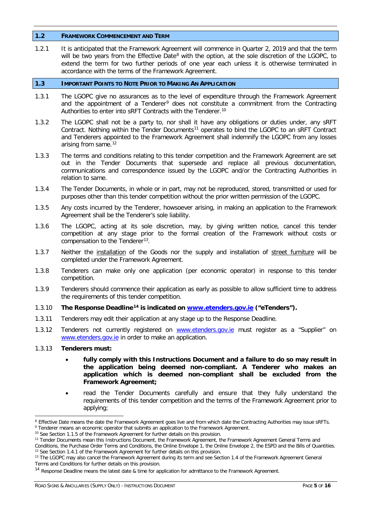### **1.2 FRAMEWORK COMMENCEMENT AND TERM**

1.2.1 It is anticipated that the Framework Agreement will commence in Quarter 2, 2019 and that the term will be two years from the Effective Date<sup>[8](#page-4-1)</sup> with the option, at the sole discretion of the LGOPC, to extend the term for two further periods of one year each unless it is otherwise terminated in accordance with the terms of the Framework Agreement.

### <span id="page-4-0"></span>**1.3 IMPORTANT POINTS TO NOTE PRIOR TO MAKING AN APPLICATION**

- 1.3.1 The LGOPC give no assurances as to the level of expenditure through the Framework Agreement and the appointment of a Tenderer $9$  does not constitute a commitment from the Contracting Authorities to enter into sRFT Contracts with the Tenderer.<sup>[10](#page-4-3)</sup>
- 1.3.2 The LGOPC shall not be a party to, nor shall it have any obligations or duties under, any sRFT Contract. Nothing within the Tender Documents<sup>[11](#page-4-4)</sup> operates to bind the LGOPC to an sRFT Contract and Tenderers appointed to the Framework Agreement shall indemnify the LGOPC from any losses arising from same.[12](#page-4-5)
- 1.3.3 The terms and conditions relating to this tender competition and the Framework Agreement are set out in the Tender Documents that supersede and replace all previous documentation, communications and correspondence issued by the LGOPC and/or the Contracting Authorities in relation to same.
- 1.3.4 The Tender Documents, in whole or in part, may not be reproduced, stored, transmitted or used for purposes other than this tender competition without the prior written permission of the LGOPC.
- 1.3.5 Any costs incurred by the Tenderer, howsoever arising, in making an application to the Framework Agreement shall be the Tenderer's sole liability.
- 1.3.6 The LGOPC, acting at its sole discretion, may, by giving written notice, cancel this tender competition at any stage prior to the formal creation of the Framework without costs or compensation to the Tenderer<sup>[13](#page-4-6)</sup>.
- 1.3.7 Neither the installation of the Goods nor the supply and installation of street furniture will be completed under the Framework Agreement.
- 1.3.8 Tenderers can make only one application (per economic operator) in response to this tender competition.
- 1.3.9 Tenderers should commence their application as early as possible to allow sufficient time to address the requirements of this tender competition.
- 1.3.10 **The Response Deadline[14](#page-4-7) is indicated on [www.etenders.gov.ie](http://www.etenders.gov.ie/) ("eTenders").**
- 1.3.11 Tenderers may edit their application at any stage up to the Response Deadline.
- 1.3.12 Tenderers not currently registered on [www.etenders.gov.ie](http://www.etenders.gov.ie/) must register as a "Supplier" on [www.etenders.gov.ie](http://www.etenders.gov.ie/) in order to make an application.
- 1.3.13 **Tenderers must:** 
	- **fully comply with this Instructions Document and a failure to do so may result in the application being deemed non-compliant. A Tenderer who makes an application which is deemed non-compliant shall be excluded from the Framework Agreement;**
	- read the Tender Documents carefully and ensure that they fully understand the requirements of this tender competition and the terms of the Framework Agreement prior to applying;

<span id="page-4-1"></span><sup>&</sup>lt;sup>8</sup> Effective Date means the date the Framework Agreement goes live and from which date the Contracting Authorities may issue sRFTs.<br><sup>9</sup> Tenderer means an economic operator that submits an application to the Framework Agr

<span id="page-4-3"></span><span id="page-4-2"></span>

<span id="page-4-4"></span><sup>&</sup>lt;sup>11</sup> Tender Documents mean this Instructions Document, the Framework Agreement, the Framework Agreement General Terms and

Conditions, the Purchase Order Terms and Conditions, the Online Envelope 1, the Online Envelope 2, the ESPD and the Bills of Quantities.  $12$  See Section 1.4.1 of the Framework Agreement for further details on this provision.

<span id="page-4-6"></span><span id="page-4-5"></span><sup>&</sup>lt;sup>13</sup> The LGOPC may also cancel the Framework Agreement during its term and see Section 1.4 of the Framework Agreement General Terms and Conditions for further details on this provision.

<span id="page-4-7"></span><sup>&</sup>lt;sup>14</sup> Response Deadline means the latest date & time for application for admittance to the Framework Agreement.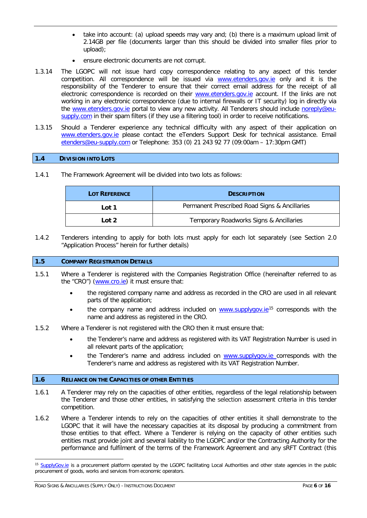- take into account: (a) upload speeds may vary and; (b) there is a maximum upload limit of 2.14GB per file (documents larger than this should be divided into smaller files prior to upload);
- ensure electronic documents are not corrupt.
- 1.3.14 The LGOPC will not issue hard copy correspondence relating to any aspect of this tender competition. All correspondence will be issued via [www.etenders.gov.ie](http://www.etenders.gov.ie/) only and it is the responsibility of the Tenderer to ensure that their correct email address for the receipt of all electronic correspondence is recorded on their [www.etenders.gov.ie](http://www.etenders.gov.ie/) account. If the links are not working in any electronic correspondence (due to internal firewalls or IT security) log in directly via the [www.etenders.gov.ie](http://www.etenders.gov.ie/) portal to view any new activity. All Tenderers should include [noreply@eu](mailto:noreply@eu-supply.com)[supply.com](mailto:noreply@eu-supply.com) in their spam filters (if they use a filtering tool) in order to receive notifications.
- 1.3.15 Should a Tenderer experience any technical difficulty with any aspect of their application on [www.etenders.gov.ie](http://www.etenders.gov.ie/) please contact the eTenders Support Desk for technical assistance. Email etenders@eu-supply.com or Telephone: 353 (0) 21 243 92 77 (09:00am – 17:30pm GMT)

### <span id="page-5-0"></span>**1.4 DIVISION INTO LOTS**

1.4.1 The Framework Agreement will be divided into two lots as follows:

| <b>LOT REFERENCE</b> | <b>DESCRIPTION</b>                            |  |
|----------------------|-----------------------------------------------|--|
| Lot 1                | Permanent Prescribed Road Signs & Ancillaries |  |
| Lot 2                | Temporary Roadworks Signs & Ancillaries       |  |

1.4.2 Tenderers intending to apply for both lots must apply for each lot separately (see Section 2.0 "Application Process" herein for further details)

### <span id="page-5-1"></span>**1.5 COMPANY REGISTRATION DETAILS**

- 1.5.1 Where a Tenderer is registered with the Companies Registration Office (hereinafter referred to as the "CRO") [\(www.cro.ie\)](http://www.cro.ie/) it must ensure that:
	- the registered company name and address as recorded in the CRO are used in all relevant parts of the application;
	- the company name and address included on [www.supplygov.ie](http://www.supplygov.ie/)<sup>[15](#page-5-3)</sup> corresponds with the name and address as registered in the CRO.
- 1.5.2 Where a Tenderer is not registered with the CRO then it must ensure that:
	- the Tenderer's name and address as registered with its VAT Registration Number is used in all relevant parts of the application;
	- the Tenderer's name and address included on [www.supplygov.ie](http://www.supplygov.ie/) corresponds with the Tenderer's name and address as registered with its VAT Registration Number.

### <span id="page-5-2"></span>**1.6 RELIANCE ON THE CAPACITIES OF OTHER ENTITIES**

- 1.6.1 A Tenderer may rely on the capacities of other entities, regardless of the legal relationship between the Tenderer and those other entities, in satisfying the selection assessment criteria in this tender competition.
- 1.6.2 Where a Tenderer intends to rely on the capacities of other entities it shall demonstrate to the LGOPC that it will have the necessary capacities at its disposal by producing a commitment from those entities to that effect. Where a Tenderer is relying on the capacity of other entities such entities must provide joint and several liability to the LGOPC and/or the Contracting Authority for the performance and fulfilment of the terms of the Framework Agreement and any sRFT Contract (this

ROAD SIGNS & ANCILLARIES (SUPPLY ONLY) - INSTRUCTIONS DOCUMENT PAGE **6** OF **16**

<span id="page-5-3"></span><sup>&</sup>lt;sup>15</sup> SupplyGov.ie is a procurement platform operated by the LGOPC facilitating Local Authorities and other state agencies in the public procurement of goods, works and services from economic operators.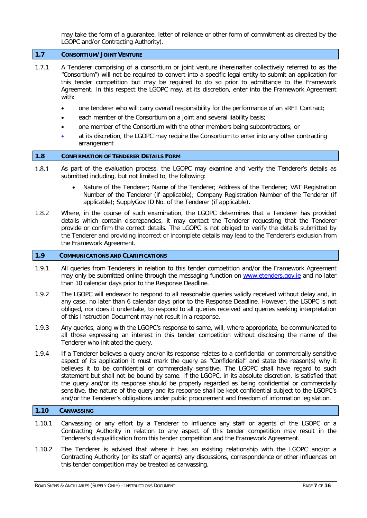may take the form of a guarantee, letter of reliance or other form of commitment as directed by the LGOPC and/or Contracting Authority).

### <span id="page-6-0"></span>**1.7 CONSORTIUM/JOINT VENTURE**

- 1.7.1 A Tenderer comprising of a consortium or joint venture (hereinafter collectively referred to as the "Consortium") will not be required to convert into a specific legal entity to submit an application for this tender competition but may be required to do so prior to admittance to the Framework Agreement. In this respect the LGOPC may, at its discretion, enter into the Framework Agreement with:
	- one tenderer who will carry overall responsibility for the performance of an sRFT Contract;
	- each member of the Consortium on a joint and several liability basis;
	- one member of the Consortium with the other members being subcontractors; or
	- at its discretion, the LGOPC may require the Consortium to enter into any other contracting arrangement

### <span id="page-6-1"></span>**1.8 CONFIRMATION OF TENDERER DETAILS FORM**

- As part of the evaluation process, the LGOPC may examine and verify the Tenderer's details as 1.8.1 submitted including, but not limited to, the following:
	- Nature of the Tenderer; Name of the Tenderer; Address of the Tenderer; VAT Registration Number of the Tenderer (if applicable); Company Registration Number of the Tenderer (if applicable); SupplyGov ID No. of the Tenderer (if applicable).
- 1.8.2 Where, in the course of such examination, the LGOPC determines that a Tenderer has provided details which contain discrepancies, it may contact the Tenderer requesting that the Tenderer provide or confirm the correct details. The LGOPC is not obliged to verify the details submitted by the Tenderer and providing incorrect or incomplete details may lead to the Tenderer's exclusion from the Framework Agreement.

#### <span id="page-6-2"></span>**1.9 COMMUNICATIONS AND CLARIFICATIONS**

- 1.9.1 All queries from Tenderers in relation to this tender competition and/or the Framework Agreement may only be submitted online through the messaging function on [www.etenders.gov.ie](http://www.etenders.gov.ie/) and no later than 10 calendar days prior to the Response Deadline.
- 1.9.2 The LGOPC will endeavor to respond to all reasonable queries validly received without delay and, in any case, no later than 6 calendar days prior to the Response Deadline. However, the LGOPC is not obliged, nor does it undertake, to respond to all queries received and queries seeking interpretation of this Instruction Document may not result in a response.
- 1.9.3 Any queries, along with the LGOPC's response to same, will, where appropriate, be communicated to all those expressing an interest in this tender competition without disclosing the name of the Tenderer who initiated the query.
- 1.9.4 If a Tenderer believes a query and/or its response relates to a confidential or commercially sensitive aspect of its application it must mark the query as "Confidential" and state the reason(s) why it believes it to be confidential or commercially sensitive. The LGOPC shall have regard to such statement but shall not be bound by same. If the LGOPC, in its absolute discretion, is satisfied that the query and/or its response should be properly regarded as being confidential or commercially sensitive, the nature of the query and its response shall be kept confidential subject to the LGOPC's and/or the Tenderer's obligations under public procurement and freedom of information legislation.

#### <span id="page-6-3"></span>**1.10 CANVASSING**

- 1.10.1 Canvassing or any effort by a Tenderer to influence any staff or agents of the LGOPC or a Contracting Authority in relation to any aspect of this tender competition may result in the Tenderer's disqualification from this tender competition and the Framework Agreement.
- 1.10.2 The Tenderer is advised that where it has an existing relationship with the LGOPC and/or a Contracting Authority (or its staff or agents) any discussions, correspondence or other influences on this tender competition may be treated as canvassing.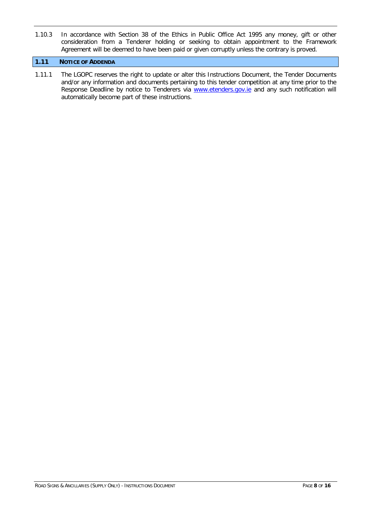1.10.3 In accordance with Section 38 of the Ethics in Public Office Act 1995 any money, gift or other consideration from a Tenderer holding or seeking to obtain appointment to the Framework Agreement will be deemed to have been paid or given corruptly unless the contrary is proved.

### <span id="page-7-0"></span>**1.11 NOTICE OF ADDENDA**

1.11.1 The LGOPC reserves the right to update or alter this Instructions Document, the Tender Documents and/or any information and documents pertaining to this tender competition at any time prior to the Response Deadline by notice to Tenderers via [www.etenders.gov.ie](http://www.etenders.gov.ie/) and any such notification will automatically become part of these instructions.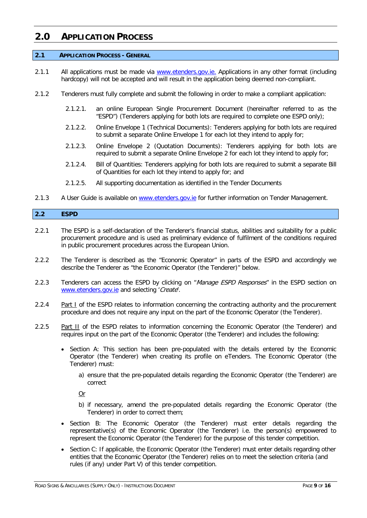### <span id="page-8-0"></span>**2.0 APPLICATION PROCESS**

### <span id="page-8-1"></span>**2.1 APPLICATION PROCESS - GENERAL**

- 2.1.1 All applications must be made via [www.etenders.gov.ie.](http://www.etenders.gov.ie/) Applications in any other format (including hardcopy) will not be accepted and will result in the application being deemed non-compliant.
- 2.1.2 Tenderers must fully complete and submit the following in order to make a compliant application:
	- 2.1.2.1. an online European Single Procurement Document (hereinafter referred to as the "ESPD") (Tenderers applying for both lots are required to complete one ESPD only);
	- 2.1.2.2. Online Envelope 1 (Technical Documents): Tenderers applying for both lots are required to submit a separate Online Envelope 1 for each lot they intend to apply for;
	- 2.1.2.3. Online Envelope 2 (Quotation Documents): Tenderers applying for both lots are required to submit a separate Online Envelope 2 for each lot they intend to apply for;
	- 2.1.2.4. Bill of Quantities: Tenderers applying for both lots are required to submit a separate Bill of Quantities for each lot they intend to apply for; and
	- 2.1.2.5. All supporting documentation as identified in the Tender Documents
- 2.1.3 A User Guide is available on [www.etenders.gov.ie](http://www.etenders.gov.ie/) for further information on Tender Management.

### <span id="page-8-2"></span>**2.2 ESPD**

- 2.2.1 The ESPD is a self-declaration of the Tenderer's financial status, abilities and suitability for a public procurement procedure and is used as preliminary evidence of fulfilment of the conditions required in public procurement procedures across the European Union.
- 2.2.2 The Tenderer is described as the "Economic Operator" in parts of the ESPD and accordingly we describe the Tenderer as "the Economic Operator (the Tenderer)" below.
- 2.2.3 Tenderers can access the ESPD by clicking on "Manage ESPD Responses" in the ESPD section on [www.etenders.gov.ie](http://www.etenders.gov.ie/) and selecting 'Create'.
- 2.2.4 Part I of the ESPD relates to information concerning the contracting authority and the procurement procedure and does not require any input on the part of the Economic Operator (the Tenderer).
- 2.2.5 Part II of the ESPD relates to information concerning the Economic Operator (the Tenderer) and requires input on the part of the Economic Operator (the Tenderer) and includes the following:
	- Section A: This section has been pre-populated with the details entered by the Economic Operator (the Tenderer) when creating its profile on eTenders. The Economic Operator (the Tenderer) must:
		- a) ensure that the pre-populated details regarding the Economic Operator (the Tenderer) are correct

Or

- b) if necessary, amend the pre-populated details regarding the Economic Operator (the Tenderer) in order to correct them;
- Section B: The Economic Operator (the Tenderer) must enter details regarding the representative(s) of the Economic Operator (the Tenderer) i.e. the person(s) empowered to represent the Economic Operator (the Tenderer) for the purpose of this tender competition.
- Section C: If applicable, the Economic Operator (the Tenderer) must enter details regarding other entities that the Economic Operator (the Tenderer) relies on to meet the selection criteria (and rules (if any) under Part V) of this tender competition.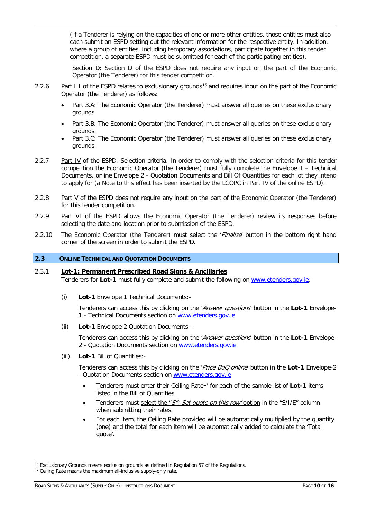(If a Tenderer is relying on the capacities of one or more other entities, those entities must also each submit an ESPD setting out the relevant information for the respective entity. In addition, where a group of entities, including temporary associations, participate together in this tender competition, a separate ESPD must be submitted for each of the participating entities).

Section D: Section D of the ESPD does not require any input on the part of the Economic Operator (the Tenderer) for this tender competition.

- 2.2.6 Part III of the ESPD relates to exclusionary grounds<sup>[16](#page-9-1)</sup> and requires input on the part of the Economic Operator (the Tenderer) as follows:
	- Part 3.A: The Economic Operator (the Tenderer) must answer all queries on these exclusionary grounds.
	- Part 3.B: The Economic Operator (the Tenderer) must answer all queries on these exclusionary grounds.
	- Part 3.C: The Economic Operator (the Tenderer) must answer all queries on these exclusionary grounds.
- 2.2.7 Part IV of the ESPD: Selection criteria. In order to comply with the selection criteria for this tender competition the Economic Operator (the Tenderer) must fully complete the Envelope 1 – Technical Documents, online Envelope 2 - Quotation Documents and Bill Of Quantities for each lot they intend to apply for (a Note to this effect has been inserted by the LGOPC in Part IV of the online ESPD).
- 2.2.8 Part V of the ESPD does not require any input on the part of the Economic Operator (the Tenderer) for this tender competition.
- 2.2.9 Part VI of the ESPD allows the Economic Operator (the Tenderer) review its responses before selecting the date and location prior to submission of the ESPD.
- 2.2.10 The Economic Operator (the Tenderer) must select the '*Finalize'* button in the bottom right hand corner of the screen in order to submit the ESPD.

### <span id="page-9-0"></span>**2.3 ONLINE TECHNICAL AND QUOTATION DOCUMENTS**

### 2.3.1 **Lot-1: Permanent Prescribed Road Signs & Ancillaries**

Tenderers for **Lot-1** must fully complete and submit the following on [www.etenders.gov.ie:](http://www.etenders.gov.ie/)

(i) **Lot-1** Envelope 1 Technical Documents:-

Tenderers can access this by clicking on the 'Answer questions' button in the **Lot-1** Envelope-1 - Technical Documents section on [www.etenders.gov.ie](http://www.etenders.gov.ie/)

(ii) **Lot-1** Envelope 2 Quotation Documents:-

Tenderers can access this by clicking on the 'Answer questions' button in the **Lot-1** Envelope-2 - Quotation Documents section on [www.etenders.gov.ie](http://www.etenders.gov.ie/)

(iii) **Lot-1** Bill of Quantities:-

Tenderers can access this by clicking on the 'Price BoQ online' button in the **Lot-1** Envelope-2 - Quotation Documents section on [www.etenders.gov.ie](http://www.etenders.gov.ie/)

- Tenderers must enter their Ceiling Rate[17](#page-9-2) for each of the sample list of **Lot-1** items listed in the Bill of Quantities.
- Tenderers must select the "S": Set quote on this row' option in the "S/I/E" column when submitting their rates.
- For each item, the Ceiling Rate provided will be automatically multiplied by the quantity (one) and the total for each item will be automatically added to calculate the 'Total quote'.

<span id="page-9-2"></span><span id="page-9-1"></span><sup>&</sup>lt;sup>16</sup> Exclusionary Grounds means exclusion grounds as defined in Regulation 57 of the Regulations. <sup>17</sup> Ceiling Rate means the maximum all-inclusive supply-only rate.

ROAD SIGNS & ANCILLARIES (SUPPLY ONLY) - INSTRUCTIONS DOCUMENT **PAGE 10** OF **16** PAGE **10** OF **16**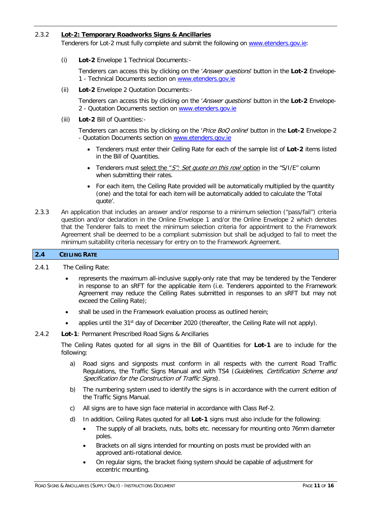### 2.3.2 **Lot-2: Temporary Roadworks Signs & Ancillaries**

Tenderers for Lot-2 must fully complete and submit the following on [www.etenders.gov.ie:](http://www.etenders.gov.ie/)

(i) **Lot-2** Envelope 1 Technical Documents:-

Tenderers can access this by clicking on the 'Answer questions' button in the **Lot-2** Envelope-1 - Technical Documents section on [www.etenders.gov.ie](http://www.etenders.gov.ie/)

(ii) **Lot-2** Envelope 2 Quotation Documents:-

Tenderers can access this by clicking on the 'Answer questions' button in the **Lot-2** Envelope-2 - Quotation Documents section on [www.etenders.gov.ie](http://www.etenders.gov.ie/)

(iii) **Lot-2** Bill of Quantities:-

Tenderers can access this by clicking on the 'Price BoQ online' button in the **Lot-2** Envelope-2 - Quotation Documents section on [www.etenders.gov.ie](http://www.etenders.gov.ie/)

- Tenderers must enter their Ceiling Rate for each of the sample list of **Lot-2** items listed in the Bill of Quantities.
- Tenderers must select the " $S$ ": Set quote on this row option in the " $S/I/E$ " column when submitting their rates.
- For each item, the Ceiling Rate provided will be automatically multiplied by the quantity (one) and the total for each item will be automatically added to calculate the 'Total quote'.
- 2.3.3 An application that includes an answer and/or response to a minimum selection ("pass/fail") criteria question and/or declaration in the Online Envelope 1 and/or the Online Envelope 2 which denotes that the Tenderer fails to meet the minimum selection criteria for appointment to the Framework Agreement shall be deemed to be a compliant submission but shall be adjudged to fail to meet the minimum suitability criteria necessary for entry on to the Framework Agreement.

### <span id="page-10-0"></span>**2.4 CEILING RATE**

- 2.4.1 The Ceiling Rate:
	- represents the maximum all-inclusive supply-only rate that may be tendered by the Tenderer in response to an sRFT for the applicable item (i.e. Tenderers appointed to the Framework Agreement may reduce the Ceiling Rates submitted in responses to an sRFT but may not exceed the Ceiling Rate);
	- shall be used in the Framework evaluation process as outlined herein;
	- applies until the  $31<sup>st</sup>$  day of December 2020 (thereafter, the Ceiling Rate will not apply).
- 2.4.2 **Lot-1**: Permanent Prescribed Road Signs & Ancillaries

The Ceiling Rates quoted for all signs in the Bill of Quantities for **Lot-1** are to include for the following:

- a) Road signs and signposts must conform in all respects with the current Road Traffic Regulations, the Traffic Signs Manual and with TS4 (Guidelines, Certification Scheme and Specification for the Construction of Traffic Signs).
- b) The numbering system used to identify the signs is in accordance with the current edition of the Traffic Signs Manual.
- c) All signs are to have sign face material in accordance with Class Ref-2.
- d) In addition, Ceiling Rates quoted for all **Lot-1** signs must also include for the following:
	- The supply of all brackets, nuts, bolts etc. necessary for mounting onto 76mm diameter poles.
	- Brackets on all signs intended for mounting on posts must be provided with an approved anti-rotational device.
	- On regular signs, the bracket fixing system should be capable of adjustment for eccentric mounting.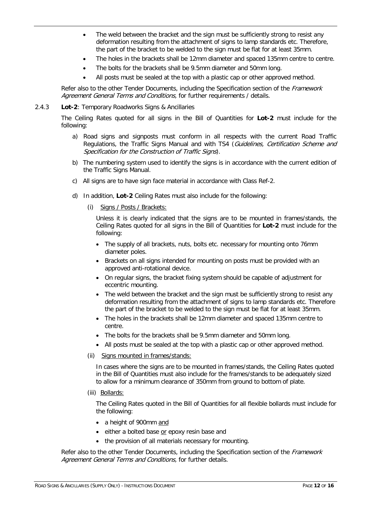- The weld between the bracket and the sign must be sufficiently strong to resist any deformation resulting from the attachment of signs to lamp standards etc. Therefore, the part of the bracket to be welded to the sign must be flat for at least 35mm.
- The holes in the brackets shall be 12mm diameter and spaced 135mm centre to centre.
- The bolts for the brackets shall be 9.5mm diameter and 50mm long.
- All posts must be sealed at the top with a plastic cap or other approved method.

Refer also to the other Tender Documents, including the Specification section of the Framework Agreement General Terms and Conditions, for further requirements / details.

### 2.4.3 **Lot-2**: Temporary Roadworks Signs & Ancillaries

The Ceiling Rates quoted for all signs in the Bill of Quantities for **Lot-2** must include for the following:

- a) Road signs and signposts must conform in all respects with the current Road Traffic Regulations, the Traffic Signs Manual and with TS4 (Guidelines, Certification Scheme and Specification for the Construction of Traffic Signs).
- b) The numbering system used to identify the signs is in accordance with the current edition of the Traffic Signs Manual.
- c) All signs are to have sign face material in accordance with Class Ref-2.
- d) In addition, **Lot-2** Ceiling Rates must also include for the following:
	- (i) Signs / Posts / Brackets:

Unless it is clearly indicated that the signs are to be mounted in frames/stands, the Ceiling Rates quoted for all signs in the Bill of Quantities for **Lot-2** must include for the following:

- The supply of all brackets, nuts, bolts etc. necessary for mounting onto 76mm diameter poles.
- Brackets on all signs intended for mounting on posts must be provided with an approved anti-rotational device.
- On regular signs, the bracket fixing system should be capable of adjustment for eccentric mounting.
- The weld between the bracket and the sign must be sufficiently strong to resist any deformation resulting from the attachment of signs to lamp standards etc. Therefore the part of the bracket to be welded to the sign must be flat for at least 35mm.
- The holes in the brackets shall be 12mm diameter and spaced 135mm centre to centre.
- The bolts for the brackets shall be 9.5mm diameter and 50mm long.
- All posts must be sealed at the top with a plastic cap or other approved method.
- (ii) Signs mounted in frames/stands:

In cases where the signs are to be mounted in frames/stands, the Ceiling Rates quoted in the Bill of Quantities must also include for the frames/stands to be adequately sized to allow for a minimum clearance of 350mm from ground to bottom of plate.

(iii) Bollards:

The Ceiling Rates quoted in the Bill of Quantities for all flexible bollards must include for the following:

- a height of 900mm and
- either a bolted base or epoxy resin base and
- the provision of all materials necessary for mounting.

Refer also to the other Tender Documents, including the Specification section of the Framework Agreement General Terms and Conditions, for further details.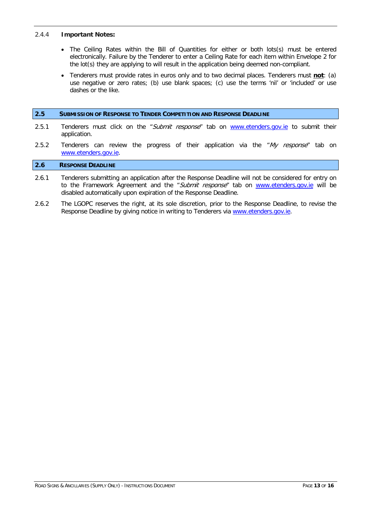### 2.4.4 **Important Notes:**

- The Ceiling Rates within the Bill of Quantities for either or both lots(s) must be entered electronically. Failure by the Tenderer to enter a Ceiling Rate for each item within Envelope 2 for the lot(s) they are applying to will result in the application being deemed non-compliant.
- Tenderers must provide rates in euros only and to two decimal places. Tenderers must **not**: (a) use negative or zero rates; (b) use blank spaces; (c) use the terms 'nil' or 'included' or use dashes or the like.

### <span id="page-12-0"></span>**2.5 SUBMISSION OF RESPONSE TO TENDER COMPETITION AND RESPONSE DEADLINE**

- 2.5.1 Tenderers must click on the "Submit response" tab on [www.etenders.gov.ie](http://www.etenders.gov.ie/) to submit their application.
- 2.5.2 Tenderers can review the progress of their application via the "My response" tab on [www.etenders.gov.ie.](http://www.etenders.gov.ie/)

### <span id="page-12-1"></span>**2.6 RESPONSE DEADLINE**

- 2.6.1 Tenderers submitting an application after the Response Deadline will not be considered for entry on to the Framework Agreement and the "Submit response" tab on [www.etenders.gov.ie](http://www.etenders.gov.ie/) will be disabled automatically upon expiration of the Response Deadline.
- 2.6.2 The LGOPC reserves the right, at its sole discretion, prior to the Response Deadline, to revise the Response Deadline by giving notice in writing to Tenderers via [www.etenders.gov.ie.](http://www.etenders.gov.ie/)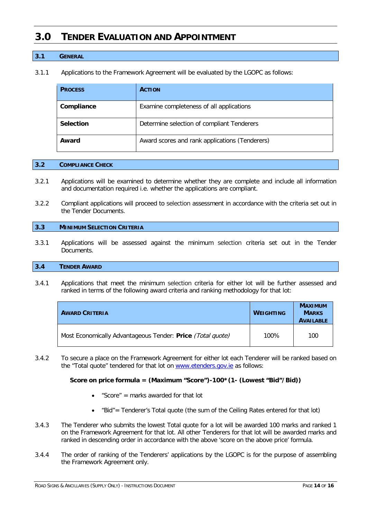### <span id="page-13-0"></span>**3.0 TENDER EVALUATION AND APPOINTMENT**

### <span id="page-13-1"></span>**3.1 GENERAL**

3.1.1 Applications to the Framework Agreement will be evaluated by the LGOPC as follows:

| <b>PROCESS</b>   | <b>ACTION</b>                                  |
|------------------|------------------------------------------------|
| Compliance       | Examine completeness of all applications       |
| <b>Selection</b> | Determine selection of compliant Tenderers     |
| Award            | Award scores and rank applications (Tenderers) |

### <span id="page-13-2"></span>**3.2 COMPLIANCE CHECK**

- 3.2.1 Applications will be examined to determine whether they are complete and include all information and documentation required i.e. whether the applications are compliant.
- 3.2.2 Compliant applications will proceed to selection assessment in accordance with the criteria set out in the Tender Documents.

### <span id="page-13-3"></span>**3.3 MINIMUM SELECTION CRITERIA**

3.3.1 Applications will be assessed against the minimum selection criteria set out in the Tender Documents.

### <span id="page-13-4"></span>**3.4 TENDER AWARD**

3.4.1 Applications that meet the minimum selection criteria for either lot will be further assessed and ranked in terms of the following award criteria and ranking methodology for that lot:

| <b>AWARD CRITERIA</b>                                      | <b>WEIGHTING</b> | <b>MAXIMUM</b><br><b>MARKS</b><br><b>AVAILABLE</b> |
|------------------------------------------------------------|------------------|----------------------------------------------------|
| Most Economically Advantageous Tender: Price (Total quote) | 100%             | 100                                                |

3.4.2 To secure a place on the Framework Agreement for either lot each Tenderer will be ranked based on the "Total quote" tendered for that lot on [www.etenders.gov.ie](http://www.etenders.gov.ie/) as follows:

### **Score on price formula = (Maximum "Score")-100\*(1- (Lowest "Bid"/Bid))**

- "Score" = marks awarded for that lot
- "Bid"= Tenderer's Total quote (the sum of the Ceiling Rates entered for that lot)
- 3.4.3 The Tenderer who submits the lowest Total quote for a lot will be awarded 100 marks and ranked 1 on the Framework Agreement for that lot. All other Tenderers for that lot will be awarded marks and ranked in descending order in accordance with the above 'score on the above price' formula.
- 3.4.4 The order of ranking of the Tenderers' applications by the LGOPC is for the purpose of assembling the Framework Agreement only.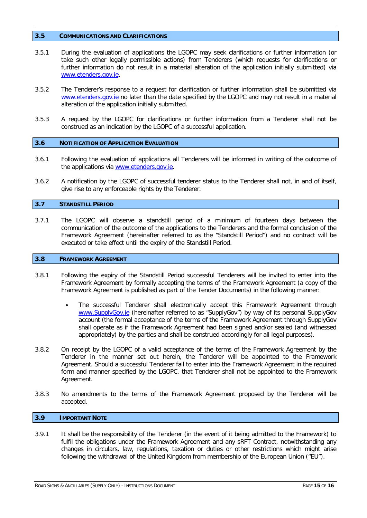### <span id="page-14-0"></span>**3.5 COMMUNICATIONS AND CLARIFICATIONS**

- 3.5.1 During the evaluation of applications the LGOPC may seek clarifications or further information (or take such other legally permissible actions) from Tenderers (which requests for clarifications or further information do not result in a material alteration of the application initially submitted) via [www.etenders.gov.ie.](http://www.etenders.gov.ie/)
- 3.5.2 The Tenderer's response to a request for clarification or further information shall be submitted via [www.etenders.gov.ie](http://www.etenders.gov.ie/) no later than the date specified by the LGOPC and may not result in a material alteration of the application initially submitted.
- 3.5.3 A request by the LGOPC for clarifications or further information from a Tenderer shall not be construed as an indication by the LGOPC of a successful application.

### <span id="page-14-1"></span>**3.6 NOTIFICATION OF APPLICATION EVALUATION**

- 3.6.1 Following the evaluation of applications all Tenderers will be informed in writing of the outcome of the applications via [www.etenders.gov.ie.](http://www.etenders.gov.ie/)
- 3.6.2 A notification by the LGOPC of successful tenderer status to the Tenderer shall not, in and of itself, give rise to any enforceable rights by the Tenderer.

### <span id="page-14-2"></span>**3.7 STANDSTILL PERIOD**

3.7.1 The LGOPC will observe a standstill period of a minimum of fourteen days between the communication of the outcome of the applications to the Tenderers and the formal conclusion of the Framework Agreement (hereinafter referred to as the "Standstill Period") and no contract will be executed or take effect until the expiry of the Standstill Period.

### <span id="page-14-3"></span>**3.8 FRAMEWORK AGREEMENT**

- 3.8.1 Following the expiry of the Standstill Period successful Tenderers will be invited to enter into the Framework Agreement by formally accepting the terms of the Framework Agreement (a copy of the Framework Agreement is published as part of the Tender Documents) in the following manner:
	- The successful Tenderer shall electronically accept this Framework Agreement through [www.SupplyGov.ie](http://www.supplygov.ie/) (hereinafter referred to as "SupplyGov") by way of its personal SupplyGov account (the formal acceptance of the terms of the Framework Agreement through SupplyGov shall operate as if the Framework Agreement had been signed and/or sealed (and witnessed appropriately) by the parties and shall be construed accordingly for all legal purposes).
- 3.8.2 On receipt by the LGOPC of a valid acceptance of the terms of the Framework Agreement by the Tenderer in the manner set out herein, the Tenderer will be appointed to the Framework Agreement. Should a successful Tenderer fail to enter into the Framework Agreement in the required form and manner specified by the LGOPC, that Tenderer shall not be appointed to the Framework Agreement.
- 3.8.3 No amendments to the terms of the Framework Agreement proposed by the Tenderer will be accepted.

### <span id="page-14-4"></span>**3.9 IMPORTANT NOTE**

3.9.1 It shall be the responsibility of the Tenderer (in the event of it being admitted to the Framework) to fulfil the obligations under the Framework Agreement and any sRFT Contract, notwithstanding any changes in circulars, law, regulations, taxation or duties or other restrictions which might arise following the withdrawal of the United Kingdom from membership of the European Union ("EU").